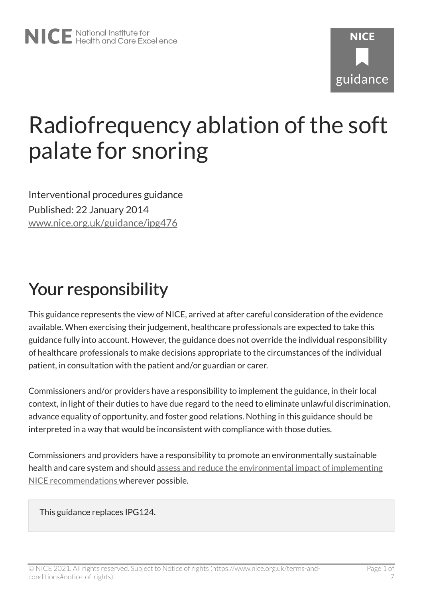# **NICF** guidance

## Radiofrequency ablation of the soft palate for snoring

Interventional procedures guidance Published: 22 January 2014 [www.nice.org.uk/guidance/ipg476](https://www.nice.org.uk/guidance/ipg476) 

### Your responsibility

This guidance represents the view of NICE, arrived at after careful consideration of the evidence available. When exercising their judgement, healthcare professionals are expected to take this guidance fully into account. However, the guidance does not override the individual responsibility of healthcare professionals to make decisions appropriate to the circumstances of the individual patient, in consultation with the patient and/or guardian or carer.

Commissioners and/or providers have a responsibility to implement the guidance, in their local context, in light of their duties to have due regard to the need to eliminate unlawful discrimination, advance equality of opportunity, and foster good relations. Nothing in this guidance should be interpreted in a way that would be inconsistent with compliance with those duties.

Commissioners and providers have a responsibility to promote an environmentally sustainable health and care system and should [assess and reduce the environmental impact of implementing](https://www.nice.org.uk/about/who-we-are/sustainability)  [NICE recommendations w](https://www.nice.org.uk/about/who-we-are/sustainability)herever possible.

This guidance replaces IPG124.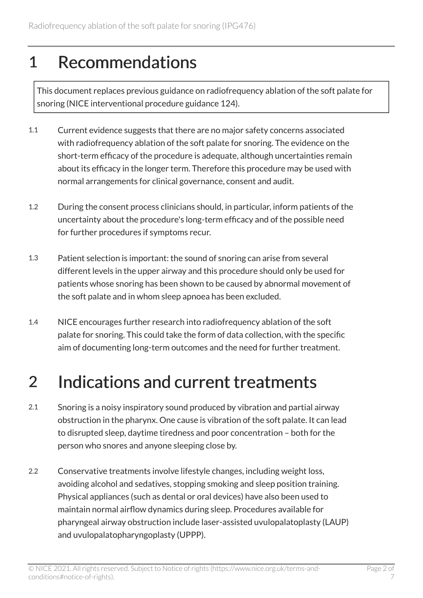#### 1 Recommendations

This document replaces previous guidance on radiofrequency ablation of the soft palate for snoring (NICE interventional procedure guidance 124).

- 1.1 Current evidence suggests that there are no major safety concerns associated with radiofrequency ablation of the soft palate for snoring. The evidence on the short-term efficacy of the procedure is adequate, although uncertainties remain about its efficacy in the longer term. Therefore this procedure may be used with normal arrangements for clinical governance, consent and audit.
- 1.2 During the consent process clinicians should, in particular, inform patients of the uncertainty about the procedure's long-term efficacy and of the possible need for further procedures if symptoms recur.
- 1.3 Patient selection is important: the sound of snoring can arise from several different levels in the upper airway and this procedure should only be used for patients whose snoring has been shown to be caused by abnormal movement of the soft palate and in whom sleep apnoea has been excluded.
- 1.4 NICE encourages further research into radiofrequency ablation of the soft palate for snoring. This could take the form of data collection, with the specific aim of documenting long-term outcomes and the need for further treatment.

#### 2 Indications and current treatments

- 2.1 Snoring is a noisy inspiratory sound produced by vibration and partial airway obstruction in the pharynx. One cause is vibration of the soft palate. It can lead to disrupted sleep, daytime tiredness and poor concentration – both for the person who snores and anyone sleeping close by.
- 2.2 Conservative treatments involve lifestyle changes, including weight loss, avoiding alcohol and sedatives, stopping smoking and sleep position training. Physical appliances (such as dental or oral devices) have also been used to maintain normal airflow dynamics during sleep. Procedures available for pharyngeal airway obstruction include laser-assisted uvulopalatoplasty (LAUP) and uvulopalatopharyngoplasty (UPPP).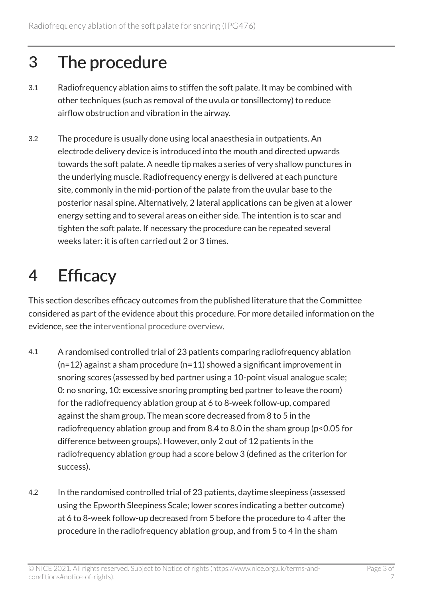#### 3 The procedure

- 3.1 Radiofrequency ablation aims to stiffen the soft palate. It may be combined with other techniques (such as removal of the uvula or tonsillectomy) to reduce airflow obstruction and vibration in the airway.
- 3.2 The procedure is usually done using local anaesthesia in outpatients. An electrode delivery device is introduced into the mouth and directed upwards towards the soft palate. A needle tip makes a series of very shallow punctures in the underlying muscle. Radiofrequency energy is delivered at each puncture site, commonly in the mid-portion of the palate from the uvular base to the posterior nasal spine. Alternatively, 2 lateral applications can be given at a lower energy setting and to several areas on either side. The intention is to scar and tighten the soft palate. If necessary the procedure can be repeated several weeks later: it is often carried out 2 or 3 times.

### 4 Efficacy

This section describes efficacy outcomes from the published literature that the Committee considered as part of the evidence about this procedure. For more detailed information on the evidence, see the [interventional procedure overview](http://www.nice.org.uk/guidance/ipg476).

- 4.1 A randomised controlled trial of 23 patients comparing radiofrequency ablation  $(n=12)$  against a sham procedure  $(n=11)$  showed a significant improvement in snoring scores (assessed by bed partner using a 10-point visual analogue scale; 0: no snoring, 10: excessive snoring prompting bed partner to leave the room) for the radiofrequency ablation group at 6 to 8-week follow-up, compared against the sham group. The mean score decreased from 8 to 5 in the radiofrequency ablation group and from 8.4 to 8.0 in the sham group (p<0.05 for difference between groups). However, only 2 out of 12 patients in the radiofrequency ablation group had a score below 3 (defined as the criterion for success).
- 4.2 In the randomised controlled trial of 23 patients, daytime sleepiness (assessed using the Epworth Sleepiness Scale; lower scores indicating a better outcome) at 6 to 8-week follow-up decreased from 5 before the procedure to 4 after the procedure in the radiofrequency ablation group, and from 5 to 4 in the sham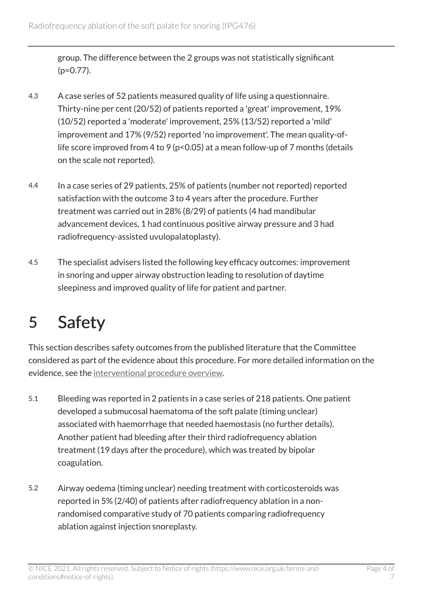group. The difference between the 2 groups was not statistically significant (p=0.77).

- 4.3 A case series of 52 patients measured quality of life using a questionnaire. Thirty-nine per cent (20/52) of patients reported a 'great' improvement, 19% (10/52) reported a 'moderate' improvement, 25% (13/52) reported a 'mild' improvement and 17% (9/52) reported 'no improvement'. The mean quality-oflife score improved from 4 to 9 (p<0.05) at a mean follow-up of 7 months (details on the scale not reported).
- 4.4 In a case series of 29 patients, 25% of patients (number not reported) reported satisfaction with the outcome 3 to 4 years after the procedure. Further treatment was carried out in 28% (8/29) of patients (4 had mandibular advancement devices, 1 had continuous positive airway pressure and 3 had radiofrequency-assisted uvulopalatoplasty).
- 4.5 The specialist advisers listed the following key efficacy outcomes: improvement in snoring and upper airway obstruction leading to resolution of daytime sleepiness and improved quality of life for patient and partner.

### 5 Safety

This section describes safety outcomes from the published literature that the Committee considered as part of the evidence about this procedure. For more detailed information on the evidence, see the [interventional procedure overview](http://www.nice.org.uk/guidance/ipg476).

- 5.1 Bleeding was reported in 2 patients in a case series of 218 patients. One patient developed a submucosal haematoma of the soft palate (timing unclear) associated with haemorrhage that needed haemostasis (no further details). Another patient had bleeding after their third radiofrequency ablation treatment (19 days after the procedure), which was treated by bipolar coagulation.
- 5.2 Airway oedema (timing unclear) needing treatment with corticosteroids was reported in 5% (2/40) of patients after radiofrequency ablation in a nonrandomised comparative study of 70 patients comparing radiofrequency ablation against injection snoreplasty.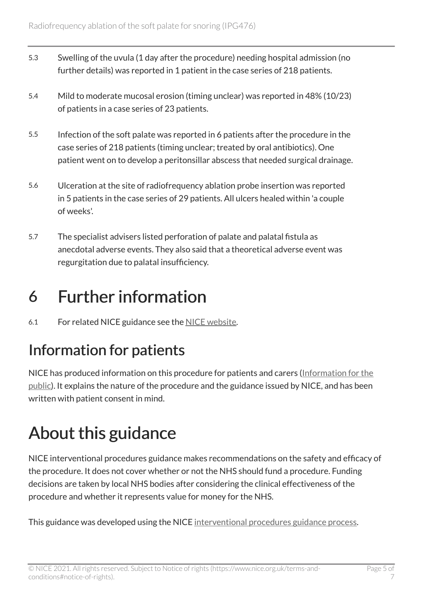- 5.3 Swelling of the uvula (1 day after the procedure) needing hospital admission (no further details) was reported in 1 patient in the case series of 218 patients.
- 5.4 Mild to moderate mucosal erosion (timing unclear) was reported in 48% (10/23) of patients in a case series of 23 patients.
- 5.5 Infection of the soft palate was reported in 6 patients after the procedure in the case series of 218 patients (timing unclear; treated by oral antibiotics). One patient went on to develop a peritonsillar abscess that needed surgical drainage.
- 5.6 Ulceration at the site of radiofrequency ablation probe insertion was reported in 5 patients in the case series of 29 patients. All ulcers healed within 'a couple of weeks'.
- 5.7 The specialist advisers listed perforation of palate and palatal fistula as anecdotal adverse events. They also said that a theoretical adverse event was regurgitation due to palatal insufficiency.

#### 6 Further information

6.1 For related NICE guidance see the [NICE website.](http://www.nice.org.uk/)

#### Information for patients

NICE has produced information on this procedure for patients and carers [\(Information for the](http://www.nice.org.uk/guidance/ipg476)  [public\)](http://www.nice.org.uk/guidance/ipg476). It explains the nature of the procedure and the guidance issued by NICE, and has been written with patient consent in mind.

### About this guidance

NICE interventional procedures guidance makes recommendations on the safety and efficacy of the procedure. It does not cover whether or not the NHS should fund a procedure. Funding decisions are taken by local NHS bodies after considering the clinical effectiveness of the procedure and whether it represents value for money for the NHS.

This guidance was developed using the NICE [interventional procedures guidance process](http://www.nice.org.uk/about/what-we-do/our-programmes/nice-guidance/nice-interventional-procedures-guidance).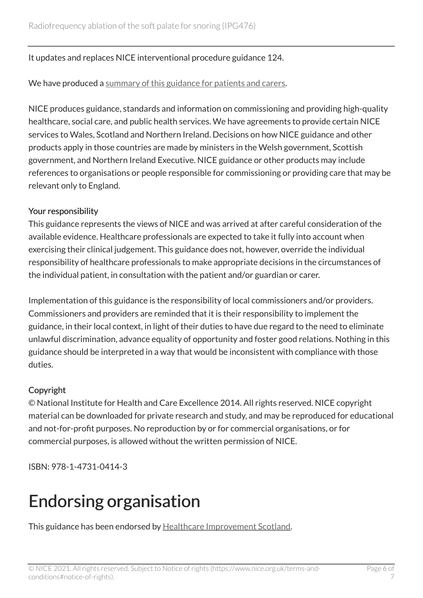#### It updates and replaces NICE interventional procedure guidance 124.

We have produced a [summary of this guidance for patients and carers.](http://www.nice.org.uk/guidance/ipg476)

NICE produces guidance, standards and information on commissioning and providing high-quality healthcare, social care, and public health services. We have agreements to provide certain NICE services to Wales, Scotland and Northern Ireland. Decisions on how NICE guidance and other products apply in those countries are made by ministers in the Welsh government, Scottish government, and Northern Ireland Executive. NICE guidance or other products may include references to organisations or people responsible for commissioning or providing care that may be relevant only to England.

#### Your responsibility

This guidance represents the views of NICE and was arrived at after careful consideration of the available evidence. Healthcare professionals are expected to take it fully into account when exercising their clinical judgement. This guidance does not, however, override the individual responsibility of healthcare professionals to make appropriate decisions in the circumstances of the individual patient, in consultation with the patient and/or guardian or carer.

Implementation of this guidance is the responsibility of local commissioners and/or providers. Commissioners and providers are reminded that it is their responsibility to implement the guidance, in their local context, in light of their duties to have due regard to the need to eliminate unlawful discrimination, advance equality of opportunity and foster good relations. Nothing in this guidance should be interpreted in a way that would be inconsistent with compliance with those duties.

#### Copyright

© National Institute for Health and Care Excellence 2014. All rights reserved. NICE copyright material can be downloaded for private research and study, and may be reproduced for educational and not-for-profit purposes. No reproduction by or for commercial organisations, or for commercial purposes, is allowed without the written permission of NICE.

ISBN: 978-1-4731-0414-3

### Endorsing organisation

This guidance has been endorsed by [Healthcare Improvement Scotland.](http://www.healthcareimprovementscotland.org/)